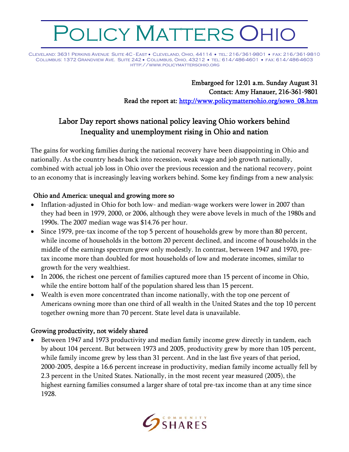# POLICY MATTERS OHIO

Cleveland: 3631 Perkins Avenue Suite 4C - East • Cleveland, Ohio, 44114 • tel: 216/361-9801 • fax: 216/361-9810 Columbus: 1372 Grandview Ave. Suite 242 • Columbus, Ohio, 43212 • tel: 614/486-4601 • fax: 614/486-4603 http://www.policymattersohio.org

> Embargoed for 12:01 a.m. Sunday August 31 Contact: Amy Hanauer, 216-361-9801 Read the report at: http://www.policymattersohio.org/sowo\_08.htm

# Labor Day report shows national policy leaving Ohio workers behind Inequality and unemployment rising in Ohio and nation

The gains for working families during the national recovery have been disappointing in Ohio and nationally. As the country heads back into recession, weak wage and job growth nationally, combined with actual job loss in Ohio over the previous recession and the national recovery, point to an economy that is increasingly leaving workers behind. Some key findings from a new analysis:

# Ohio and America: unequal and growing more so

- Inflation-adjusted in Ohio for both low- and median-wage workers were lower in 2007 than they had been in 1979, 2000, or 2006, although they were above levels in much of the 1980s and 1990s. The 2007 median wage was \$14.76 per hour.
- Since 1979, pre-tax income of the top 5 percent of households grew by more than 80 percent, while income of households in the bottom 20 percent declined, and income of households in the middle of the earnings spectrum grew only modestly. In contrast, between 1947 and 1970, pretax income more than doubled for most households of low and moderate incomes, similar to growth for the very wealthiest.
- In 2006, the richest one percent of families captured more than 15 percent of income in Ohio, while the entire bottom half of the population shared less than 15 percent.
- Wealth is even more concentrated than income nationally, with the top one percent of Americans owning more than one third of all wealth in the United States and the top 10 percent together owning more than 70 percent. State level data is unavailable.

#### Growing productivity, not widely shared

• Between 1947 and 1973 productivity and median family income grew directly in tandem, each by about 104 percent. But between 1973 and 2005, productivity grew by more than 105 percent, while family income grew by less than 31 percent. And in the last five years of that period, 2000-2005, despite a 16.6 percent increase in productivity, median family income actually fell by 2.3 percent in the United States. Nationally, in the most recent year measured (2005), the highest earning families consumed a larger share of total pre-tax income than at any time since 1928.

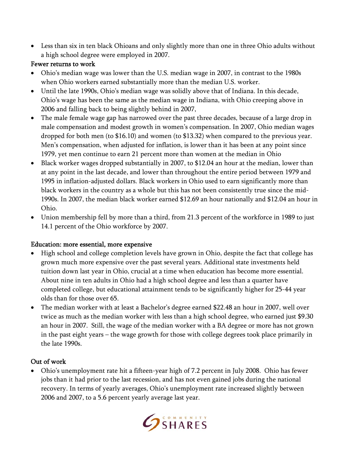• Less than six in ten black Ohioans and only slightly more than one in three Ohio adults without a high school degree were employed in 2007.

#### Fewer returns to work

- Ohio's median wage was lower than the U.S. median wage in 2007, in contrast to the 1980s when Ohio workers earned substantially more than the median U.S. worker.
- Until the late 1990s, Ohio's median wage was solidly above that of Indiana. In this decade, Ohio's wage has been the same as the median wage in Indiana, with Ohio creeping above in 2006 and falling back to being slightly behind in 2007,
- The male female wage gap has narrowed over the past three decades, because of a large drop in male compensation and modest growth in women's compensation. In 2007, Ohio median wages dropped for both men (to \$16.10) and women (to \$13.32) when compared to the previous year. Men's compensation, when adjusted for inflation, is lower than it has been at any point since 1979, yet men continue to earn 21 percent more than women at the median in Ohio
- Black worker wages dropped substantially in 2007, to \$12.04 an hour at the median, lower than at any point in the last decade, and lower than throughout the entire period between 1979 and 1995 in inflation-adjusted dollars. Black workers in Ohio used to earn significantly more than black workers in the country as a whole but this has not been consistently true since the mid-1990s. In 2007, the median black worker earned \$12.69 an hour nationally and \$12.04 an hour in Ohio.
- Union membership fell by more than a third, from 21.3 percent of the workforce in 1989 to just 14.1 percent of the Ohio workforce by 2007.

# Education: more essential, more expensive

- High school and college completion levels have grown in Ohio, despite the fact that college has grown much more expensive over the past several years. Additional state investments held tuition down last year in Ohio, crucial at a time when education has become more essential. About nine in ten adults in Ohio had a high school degree and less than a quarter have completed college, but educational attainment tends to be significantly higher for 25-44 year olds than for those over 65.
- The median worker with at least a Bachelor's degree earned \$22.48 an hour in 2007, well over twice as much as the median worker with less than a high school degree, who earned just \$9.30 an hour in 2007. Still, the wage of the median worker with a BA degree or more has not grown in the past eight years – the wage growth for those with college degrees took place primarily in the late 1990s.

# Out of work

• Ohio's unemployment rate hit a fifteen-year high of 7.2 percent in July 2008. Ohio has fewer jobs than it had prior to the last recession, and has not even gained jobs during the national recovery. In terms of yearly averages, Ohio's unemployment rate increased slightly between 2006 and 2007, to a 5.6 percent yearly average last year.